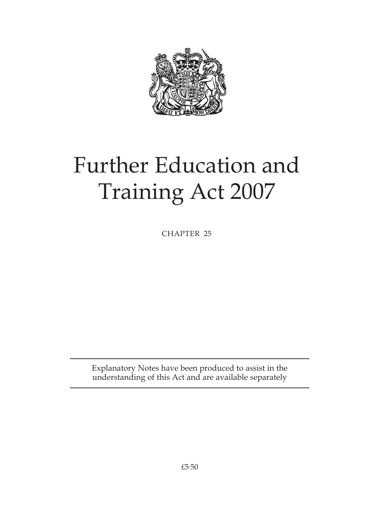

# Further Education and Training Act 2007

CHAPTER 25

Explanatory Notes have been produced to assist in the understanding of this Act and are available separately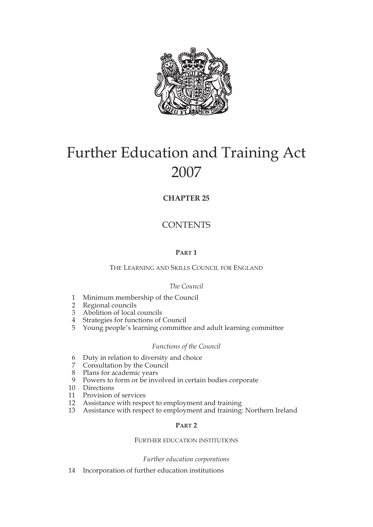

# Further Education and Training Act 2007

### **CHAPTER 25**

## **CONTENTS**

### **PART 1**

THE LEARNING AND SKILLS COUNCIL FOR ENGLAND

#### *The Council*

- 1 Minimum membership of the Council
- 2 Regional councils
- 3 Abolition of local councils
- 4 Strategies for functions of Council
- 5 Young people's learning committee and adult learning committee

#### *Functions of the Council*

- 6 Duty in relation to diversity and choice
- 7 Consultation by the Council
- 8 Plans for academic years
- 9 Powers to form or be involved in certain bodies corporate
- 10 Directions
- 11 Provision of services
- 12 Assistance with respect to employment and training
- 13 Assistance with respect to employment and training: Northern Ireland

#### **PART 2**

#### FURTHER EDUCATION INSTITUTIONS

#### *Further education corporations*

14 Incorporation of further education institutions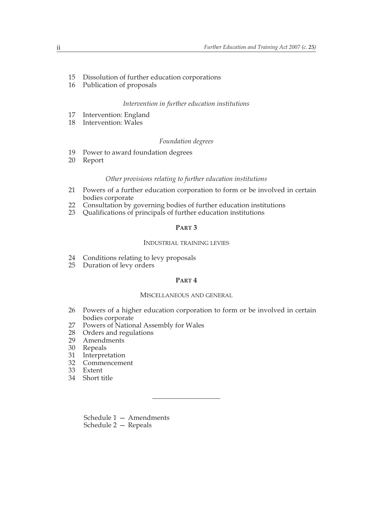- 15 Dissolution of further education corporations
- 16 Publication of proposals

#### *Intervention in further education institutions*

- 17 Intervention: England
- 18 Intervention: Wales

#### *Foundation degrees*

- 19 Power to award foundation degrees<br>20 Report
- **Report**

#### *Other provisions relating to further education institutions*

- 21 Powers of a further education corporation to form or be involved in certain bodies corporate
- 22 Consultation by governing bodies of further education institutions<br>23 Oualifications of principals of further education institutions
- Qualifications of principals of further education institutions

#### **PART 3**

#### INDUSTRIAL TRAINING LEVIES

- 24 Conditions relating to levy proposals<br>25 Duration of levy orders
- Duration of levy orders

#### **PART 4**

#### MISCELLANEOUS AND GENERAL

- 26 Powers of a higher education corporation to form or be involved in certain bodies corporate
- 27 Powers of National Assembly for Wales<br>28 Orders and regulations
- Orders and regulations
- 29 Amendments
- 30 Repeals
- 31 Interpretation
- 32 Commencement
- 33 Extent
- 34 Short title

Schedule 1 — Amendments Schedule 2 — Repeals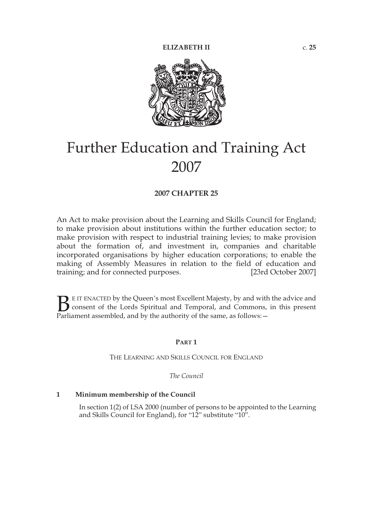

# Further Education and Training Act 2007

#### **2007 CHAPTER 25**

An Act to make provision about the Learning and Skills Council for England; to make provision about institutions within the further education sector; to make provision with respect to industrial training levies; to make provision about the formation of, and investment in, companies and charitable incorporated organisations by higher education corporations; to enable the making of Assembly Measures in relation to the field of education and training; and for connected purposes. [23rd October 2007]

E IT ENACTED by the Queen's most Excellent Majesty, by and with the advice and consent of the Lords Spiritual and Temporal, and Commons, in this present **P**E IT ENACTED by the Queen's most Excellent Majesty, by and with consent of the Lords Spiritual and Temporal, and Commons, Parliament assembled, and by the authority of the same, as follows:  $-$ 

#### **PART 1**

THE LEARNING AND SKILLS COUNCIL FOR ENGLAND

*The Council*

#### **1 Minimum membership of the Council**

In section 1(2) of LSA 2000 (number of persons to be appointed to the Learning and Skills Council for England), for "12" substitute "10".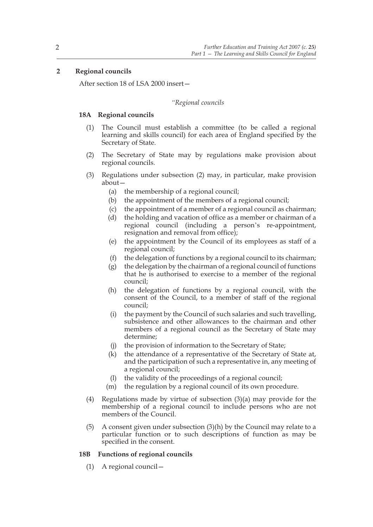#### **2 Regional councils**

After section 18 of LSA 2000 insert—

#### *"Regional councils*

#### **18A Regional councils**

- (1) The Council must establish a committee (to be called a regional learning and skills council) for each area of England specified by the Secretary of State.
- (2) The Secretary of State may by regulations make provision about regional councils.
- (3) Regulations under subsection (2) may, in particular, make provision about—
	- (a) the membership of a regional council;
	- (b) the appointment of the members of a regional council;
	- (c) the appointment of a member of a regional council as chairman;
	- (d) the holding and vacation of office as a member or chairman of a regional council (including a person's re-appointment, resignation and removal from office);
	- (e) the appointment by the Council of its employees as staff of a regional council;
	- (f) the delegation of functions by a regional council to its chairman;
	- (g) the delegation by the chairman of a regional council of functions that he is authorised to exercise to a member of the regional council;
	- (h) the delegation of functions by a regional council, with the consent of the Council, to a member of staff of the regional council;
	- (i) the payment by the Council of such salaries and such travelling, subsistence and other allowances to the chairman and other members of a regional council as the Secretary of State may determine;
	- (j) the provision of information to the Secretary of State;
	- (k) the attendance of a representative of the Secretary of State at, and the participation of such a representative in, any meeting of a regional council;
	- (l) the validity of the proceedings of a regional council;
	- (m) the regulation by a regional council of its own procedure.
- (4) Regulations made by virtue of subsection (3)(a) may provide for the membership of a regional council to include persons who are not members of the Council.
- (5) A consent given under subsection  $(3)(h)$  by the Council may relate to a particular function or to such descriptions of function as may be specified in the consent.

#### **18B Functions of regional councils**

(1) A regional council—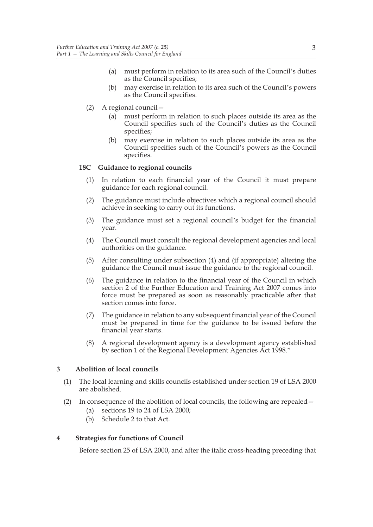- (a) must perform in relation to its area such of the Council's duties as the Council specifies;
- (b) may exercise in relation to its area such of the Council's powers as the Council specifies.
- (2) A regional council—
	- (a) must perform in relation to such places outside its area as the Council specifies such of the Council's duties as the Council specifies;
	- (b) may exercise in relation to such places outside its area as the Council specifies such of the Council's powers as the Council specifies.

#### **18C Guidance to regional councils**

- (1) In relation to each financial year of the Council it must prepare guidance for each regional council.
- (2) The guidance must include objectives which a regional council should achieve in seeking to carry out its functions.
- (3) The guidance must set a regional council's budget for the financial year.
- (4) The Council must consult the regional development agencies and local authorities on the guidance.
- (5) After consulting under subsection (4) and (if appropriate) altering the guidance the Council must issue the guidance to the regional council.
- (6) The guidance in relation to the financial year of the Council in which section 2 of the Further Education and Training Act 2007 comes into force must be prepared as soon as reasonably practicable after that section comes into force.
- (7) The guidance in relation to any subsequent financial year of the Council must be prepared in time for the guidance to be issued before the financial year starts.
- (8) A regional development agency is a development agency established by section 1 of the Regional Development Agencies Act 1998."

#### **3 Abolition of local councils**

- (1) The local learning and skills councils established under section 19 of LSA 2000 are abolished.
- (2) In consequence of the abolition of local councils, the following are repealed—
	- (a) sections 19 to 24 of LSA 2000;
	- (b) Schedule 2 to that Act.

#### **4 Strategies for functions of Council**

Before section 25 of LSA 2000, and after the italic cross-heading preceding that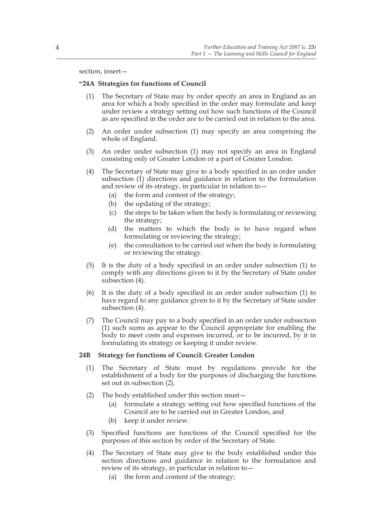section, insert—

#### **"24A Strategies for functions of Council**

- (1) The Secretary of State may by order specify an area in England as an area for which a body specified in the order may formulate and keep under review a strategy setting out how such functions of the Council as are specified in the order are to be carried out in relation to the area.
- (2) An order under subsection (1) may specify an area comprising the whole of England.
- (3) An order under subsection (1) may not specify an area in England consisting only of Greater London or a part of Greater London.
- (4) The Secretary of State may give to a body specified in an order under subsection (1) directions and guidance in relation to the formulation and review of its strategy, in particular in relation to—
	- (a) the form and content of the strategy;
	- (b) the updating of the strategy;
	- (c) the steps to be taken when the body is formulating or reviewing the strategy;
	- (d) the matters to which the body is to have regard when formulating or reviewing the strategy;
	- (e) the consultation to be carried out when the body is formulating or reviewing the strategy.
- (5) It is the duty of a body specified in an order under subsection (1) to comply with any directions given to it by the Secretary of State under subsection (4).
- (6) It is the duty of a body specified in an order under subsection (1) to have regard to any guidance given to it by the Secretary of State under subsection (4).
- (7) The Council may pay to a body specified in an order under subsection (1) such sums as appear to the Council appropriate for enabling the body to meet costs and expenses incurred, or to be incurred, by it in formulating its strategy or keeping it under review.

#### **24B Strategy for functions of Council: Greater London**

- (1) The Secretary of State must by regulations provide for the establishment of a body for the purposes of discharging the functions set out in subsection (2).
- (2) The body established under this section must—
	- (a) formulate a strategy setting out how specified functions of the Council are to be carried out in Greater London, and
	- (b) keep it under review.
- (3) Specified functions are functions of the Council specified for the purposes of this section by order of the Secretary of State.
- (4) The Secretary of State may give to the body established under this section directions and guidance in relation to the formulation and review of its strategy, in particular in relation to—
	- (a) the form and content of the strategy;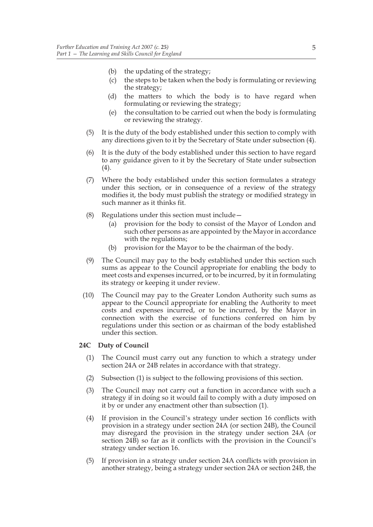- (b) the updating of the strategy;
- (c) the steps to be taken when the body is formulating or reviewing the strategy;
- (d) the matters to which the body is to have regard when formulating or reviewing the strategy;
- (e) the consultation to be carried out when the body is formulating or reviewing the strategy.
- (5) It is the duty of the body established under this section to comply with any directions given to it by the Secretary of State under subsection (4).
- (6) It is the duty of the body established under this section to have regard to any guidance given to it by the Secretary of State under subsection (4).
- (7) Where the body established under this section formulates a strategy under this section, or in consequence of a review of the strategy modifies it, the body must publish the strategy or modified strategy in such manner as it thinks fit.
- (8) Regulations under this section must include—
	- (a) provision for the body to consist of the Mayor of London and such other persons as are appointed by the Mayor in accordance with the regulations;
	- (b) provision for the Mayor to be the chairman of the body.
- (9) The Council may pay to the body established under this section such sums as appear to the Council appropriate for enabling the body to meet costs and expenses incurred, or to be incurred, by it in formulating its strategy or keeping it under review.
- (10) The Council may pay to the Greater London Authority such sums as appear to the Council appropriate for enabling the Authority to meet costs and expenses incurred, or to be incurred, by the Mayor in connection with the exercise of functions conferred on him by regulations under this section or as chairman of the body established under this section.

#### **24C Duty of Council**

- (1) The Council must carry out any function to which a strategy under section 24A or 24B relates in accordance with that strategy.
- (2) Subsection (1) is subject to the following provisions of this section.
- (3) The Council may not carry out a function in accordance with such a strategy if in doing so it would fail to comply with a duty imposed on it by or under any enactment other than subsection (1).
- (4) If provision in the Council's strategy under section 16 conflicts with provision in a strategy under section 24A (or section 24B), the Council may disregard the provision in the strategy under section 24A (or section 24B) so far as it conflicts with the provision in the Council's strategy under section 16.
- (5) If provision in a strategy under section 24A conflicts with provision in another strategy, being a strategy under section 24A or section 24B, the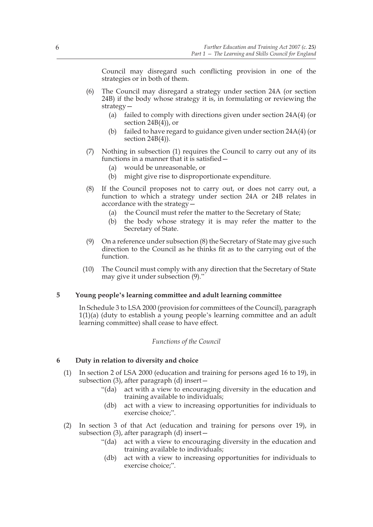Council may disregard such conflicting provision in one of the strategies or in both of them.

- (6) The Council may disregard a strategy under section 24A (or section 24B) if the body whose strategy it is, in formulating or reviewing the strategy—
	- (a) failed to comply with directions given under section 24A(4) (or section 24B(4)), or
	- (b) failed to have regard to guidance given under section 24A(4) (or section 24B(4)).
- (7) Nothing in subsection (1) requires the Council to carry out any of its functions in a manner that it is satisfied—
	- (a) would be unreasonable, or
	- (b) might give rise to disproportionate expenditure.
- (8) If the Council proposes not to carry out, or does not carry out, a function to which a strategy under section 24A or 24B relates in accordance with the strategy—
	- (a) the Council must refer the matter to the Secretary of State;
	- (b) the body whose strategy it is may refer the matter to the Secretary of State.
- (9) On a reference under subsection (8) the Secretary of State may give such direction to the Council as he thinks fit as to the carrying out of the function.
- (10) The Council must comply with any direction that the Secretary of State may give it under subsection (9)."

#### **5 Young people's learning committee and adult learning committee**

In Schedule 3 to LSA 2000 (provision for committees of the Council), paragraph 1(1)(a) (duty to establish a young people's learning committee and an adult learning committee) shall cease to have effect.

#### *Functions of the Council*

#### **6 Duty in relation to diversity and choice**

- (1) In section 2 of LSA 2000 (education and training for persons aged 16 to 19), in subsection  $(3)$ , after paragraph  $(d)$  insert –
	- "(da) act with a view to encouraging diversity in the education and training available to individuals;
	- (db) act with a view to increasing opportunities for individuals to exercise choice;".
- (2) In section 3 of that Act (education and training for persons over 19), in subsection (3), after paragraph (d) insert—
	- "(da) act with a view to encouraging diversity in the education and training available to individuals;
	- (db) act with a view to increasing opportunities for individuals to exercise choice;".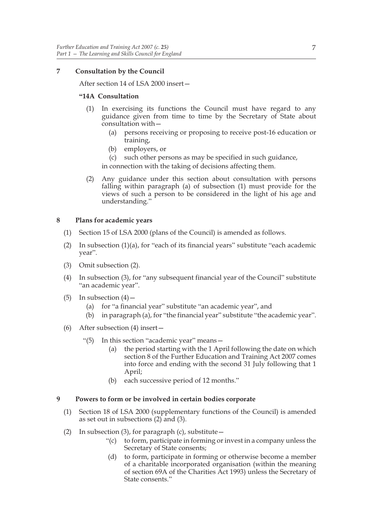#### **7 Consultation by the Council**

After section 14 of LSA 2000 insert—

#### **"14A Consultation**

- (1) In exercising its functions the Council must have regard to any guidance given from time to time by the Secretary of State about consultation with—
	- (a) persons receiving or proposing to receive post-16 education or training,
	- (b) employers, or
	- (c) such other persons as may be specified in such guidance,

in connection with the taking of decisions affecting them.

(2) Any guidance under this section about consultation with persons falling within paragraph (a) of subsection (1) must provide for the views of such a person to be considered in the light of his age and understanding."

#### **8 Plans for academic years**

- (1) Section 15 of LSA 2000 (plans of the Council) is amended as follows.
- (2) In subsection (1)(a), for "each of its financial years" substitute "each academic year".
- (3) Omit subsection (2).
- (4) In subsection (3), for "any subsequent financial year of the Council" substitute "an academic year".
- (5) In subsection  $(4)$ 
	- (a) for "a financial year" substitute "an academic year", and
	- (b) in paragraph (a), for "the financial year" substitute "the academic year".
- (6) After subsection (4) insert—
	- "(5) In this section "academic year" means—
		- (a) the period starting with the 1 April following the date on which section 8 of the Further Education and Training Act 2007 comes into force and ending with the second 31 July following that 1 April;
		- (b) each successive period of 12 months."

#### **9 Powers to form or be involved in certain bodies corporate**

- (1) Section 18 of LSA 2000 (supplementary functions of the Council) is amended as set out in subsections (2) and (3).
- (2) In subsection (3), for paragraph (c), substitute  $-$ 
	- $'(c)$  to form, participate in forming or invest in a company unless the Secretary of State consents;
	- (d) to form, participate in forming or otherwise become a member of a charitable incorporated organisation (within the meaning of section 69A of the Charities Act 1993) unless the Secretary of State consents."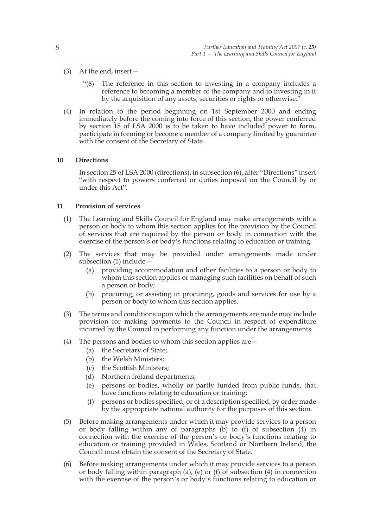- (3) At the end, insert—
	- "(8) The reference in this section to investing in a company includes a reference to becoming a member of the company and to investing in it by the acquisition of any assets, securities or rights or otherwise."
- (4) In relation to the period beginning on 1st September 2000 and ending immediately before the coming into force of this section, the power conferred by section 18 of LSA 2000 is to be taken to have included power to form, participate in forming or become a member of a company limited by guarantee with the consent of the Secretary of State.

#### **10 Directions**

In section 25 of LSA 2000 (directions), in subsection (6), after "Directions" insert "with respect to powers conferred or duties imposed on the Council by or under this Act".

#### **11 Provision of services**

- (1) The Learning and Skills Council for England may make arrangements with a person or body to whom this section applies for the provision by the Council of services that are required by the person or body in connection with the exercise of the person's or body's functions relating to education or training.
- (2) The services that may be provided under arrangements made under subsection (1) include—
	- (a) providing accommodation and other facilities to a person or body to whom this section applies or managing such facilities on behalf of such a person or body;
	- (b) procuring, or assisting in procuring, goods and services for use by a person or body to whom this section applies.
- (3) The terms and conditions upon which the arrangements are made may include provision for making payments to the Council in respect of expenditure incurred by the Council in performing any function under the arrangements.
- (4) The persons and bodies to whom this section applies are—
	- (a) the Secretary of State;
	- (b) the Welsh Ministers;
	- (c) the Scottish Ministers;
	- (d) Northern Ireland departments;
	- (e) persons or bodies, wholly or partly funded from public funds, that have functions relating to education or training;
	- (f) persons or bodies specified, or of a description specified, by order made by the appropriate national authority for the purposes of this section.
- (5) Before making arrangements under which it may provide services to a person or body falling within any of paragraphs (b) to (f) of subsection (4) in connection with the exercise of the person's or body's functions relating to education or training provided in Wales, Scotland or Northern Ireland, the Council must obtain the consent of the Secretary of State.
- (6) Before making arrangements under which it may provide services to a person or body falling within paragraph (a), (e) or (f) of subsection  $(4)$  in connection with the exercise of the person's or body's functions relating to education or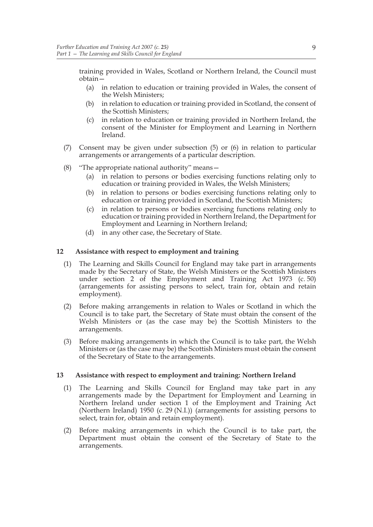training provided in Wales, Scotland or Northern Ireland, the Council must obtain—

- (a) in relation to education or training provided in Wales, the consent of the Welsh Ministers;
- (b) in relation to education or training provided in Scotland, the consent of the Scottish Ministers;
- (c) in relation to education or training provided in Northern Ireland, the consent of the Minister for Employment and Learning in Northern Ireland.
- (7) Consent may be given under subsection (5) or (6) in relation to particular arrangements or arrangements of a particular description.
- (8) "The appropriate national authority" means—
	- (a) in relation to persons or bodies exercising functions relating only to education or training provided in Wales, the Welsh Ministers;
	- (b) in relation to persons or bodies exercising functions relating only to education or training provided in Scotland, the Scottish Ministers;
	- (c) in relation to persons or bodies exercising functions relating only to education or training provided in Northern Ireland, the Department for Employment and Learning in Northern Ireland;
	- (d) in any other case, the Secretary of State.

#### **12 Assistance with respect to employment and training**

- (1) The Learning and Skills Council for England may take part in arrangements made by the Secretary of State, the Welsh Ministers or the Scottish Ministers under section 2 of the Employment and Training Act 1973 (c. 50) (arrangements for assisting persons to select, train for, obtain and retain employment).
- (2) Before making arrangements in relation to Wales or Scotland in which the Council is to take part, the Secretary of State must obtain the consent of the Welsh Ministers or (as the case may be) the Scottish Ministers to the arrangements.
- (3) Before making arrangements in which the Council is to take part, the Welsh Ministers or (as the case may be) the Scottish Ministers must obtain the consent of the Secretary of State to the arrangements.

#### **13 Assistance with respect to employment and training: Northern Ireland**

- (1) The Learning and Skills Council for England may take part in any arrangements made by the Department for Employment and Learning in Northern Ireland under section 1 of the Employment and Training Act (Northern Ireland) 1950 (c. 29 (N.I.)) (arrangements for assisting persons to select, train for, obtain and retain employment).
- (2) Before making arrangements in which the Council is to take part, the Department must obtain the consent of the Secretary of State to the arrangements.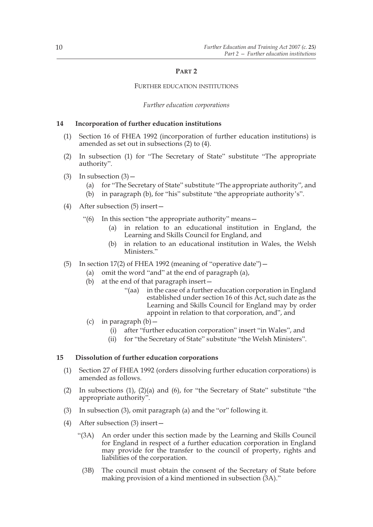#### **PART 2**

#### FURTHER EDUCATION INSTITUTIONS

#### *Further education corporations*

#### **14 Incorporation of further education institutions**

- (1) Section 16 of FHEA 1992 (incorporation of further education institutions) is amended as set out in subsections (2) to (4).
- (2) In subsection (1) for "The Secretary of State" substitute "The appropriate authority".
- (3) In subsection  $(3)$ 
	- (a) for "The Secretary of State" substitute "The appropriate authority", and
	- (b) in paragraph (b), for "his" substitute "the appropriate authority's".
- (4) After subsection (5) insert—
	- "(6) In this section "the appropriate authority" means—
		- (a) in relation to an educational institution in England, the Learning and Skills Council for England, and
		- (b) in relation to an educational institution in Wales, the Welsh Ministers."
- (5) In section 17(2) of FHEA 1992 (meaning of "operative date")  $-$ 
	- (a) omit the word "and" at the end of paragraph (a),
	- (b) at the end of that paragraph insert—
		- "(aa) in the case of a further education corporation in England established under section 16 of this Act, such date as the Learning and Skills Council for England may by order appoint in relation to that corporation, and", and
	- (c) in paragraph  $(b)$ 
		- (i) after "further education corporation" insert "in Wales", and
		- (ii) for "the Secretary of State" substitute "the Welsh Ministers".

#### **15 Dissolution of further education corporations**

- (1) Section 27 of FHEA 1992 (orders dissolving further education corporations) is amended as follows.
- (2) In subsections (1), (2)(a) and (6), for "the Secretary of State" substitute "the appropriate authority".
- (3) In subsection (3), omit paragraph (a) and the "or" following it.
- (4) After subsection (3) insert—
	- "(3A) An order under this section made by the Learning and Skills Council for England in respect of a further education corporation in England may provide for the transfer to the council of property, rights and liabilities of the corporation.
		- (3B) The council must obtain the consent of the Secretary of State before making provision of a kind mentioned in subsection (3A)."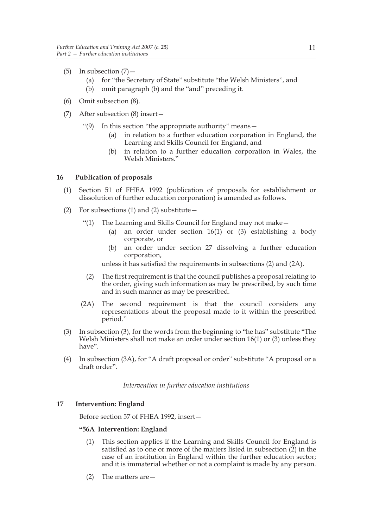- (5) In subsection  $(7)$  -
	- (a) for "the Secretary of State" substitute "the Welsh Ministers", and
	- (b) omit paragraph (b) and the "and" preceding it.
- (6) Omit subsection (8).
- (7) After subsection (8) insert—
	- "(9) In this section "the appropriate authority" means—
		- (a) in relation to a further education corporation in England, the Learning and Skills Council for England, and
		- (b) in relation to a further education corporation in Wales, the Welsh Ministers."

#### **16 Publication of proposals**

- (1) Section 51 of FHEA 1992 (publication of proposals for establishment or dissolution of further education corporation) is amended as follows.
- (2) For subsections (1) and (2) substitute  $-$ 
	- "(1) The Learning and Skills Council for England may not make—
		- (a) an order under section 16(1) or (3) establishing a body corporate, or
		- (b) an order under section 27 dissolving a further education corporation,

unless it has satisfied the requirements in subsections (2) and (2A).

- (2) The first requirement is that the council publishes a proposal relating to the order, giving such information as may be prescribed, by such time and in such manner as may be prescribed.
- (2A) The second requirement is that the council considers any representations about the proposal made to it within the prescribed period."
- (3) In subsection (3), for the words from the beginning to "he has" substitute "The Welsh Ministers shall not make an order under section 16(1) or (3) unless they have".
- (4) In subsection (3A), for "A draft proposal or order" substitute "A proposal or a draft order".

*Intervention in further education institutions*

#### **17 Intervention: England**

Before section 57 of FHEA 1992, insert—

#### **"56A Intervention: England**

- (1) This section applies if the Learning and Skills Council for England is satisfied as to one or more of the matters listed in subsection  $(\overline{2})$  in the case of an institution in England within the further education sector; and it is immaterial whether or not a complaint is made by any person.
- (2) The matters are—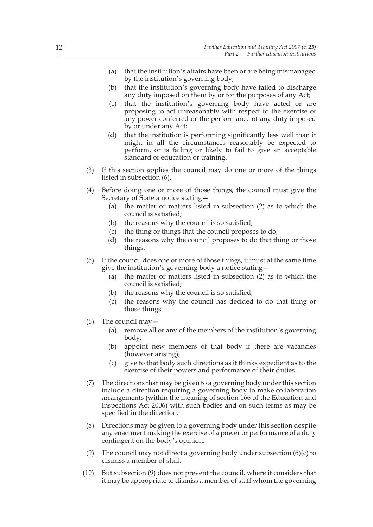- (a) that the institution's affairs have been or are being mismanaged by the institution's governing body;
- (b) that the institution's governing body have failed to discharge any duty imposed on them by or for the purposes of any Act;
- (c) that the institution's governing body have acted or are proposing to act unreasonably with respect to the exercise of any power conferred or the performance of any duty imposed by or under any Act;
- (d) that the institution is performing significantly less well than it might in all the circumstances reasonably be expected to perform, or is failing or likely to fail to give an acceptable standard of education or training.
- (3) If this section applies the council may do one or more of the things listed in subsection (6).
- (4) Before doing one or more of those things, the council must give the Secretary of State a notice stating—
	- (a) the matter or matters listed in subsection (2) as to which the council is satisfied;
	- (b) the reasons why the council is so satisfied;
	- (c) the thing or things that the council proposes to do;
	- (d) the reasons why the council proposes to do that thing or those things.
- (5) If the council does one or more of those things, it must at the same time give the institution's governing body a notice stating—
	- (a) the matter or matters listed in subsection (2) as to which the council is satisfied;
	- (b) the reasons why the council is so satisfied;
	- (c) the reasons why the council has decided to do that thing or those things.
- (6) The council may—
	- (a) remove all or any of the members of the institution's governing body;
	- (b) appoint new members of that body if there are vacancies (however arising);
	- (c) give to that body such directions as it thinks expedient as to the exercise of their powers and performance of their duties.
- (7) The directions that may be given to a governing body under this section include a direction requiring a governing body to make collaboration arrangements (within the meaning of section 166 of the Education and Inspections Act 2006) with such bodies and on such terms as may be specified in the direction.
- (8) Directions may be given to a governing body under this section despite any enactment making the exercise of a power or performance of a duty contingent on the body's opinion.
- (9) The council may not direct a governing body under subsection  $(6)(c)$  to dismiss a member of staff.
- (10) But subsection (9) does not prevent the council, where it considers that it may be appropriate to dismiss a member of staff whom the governing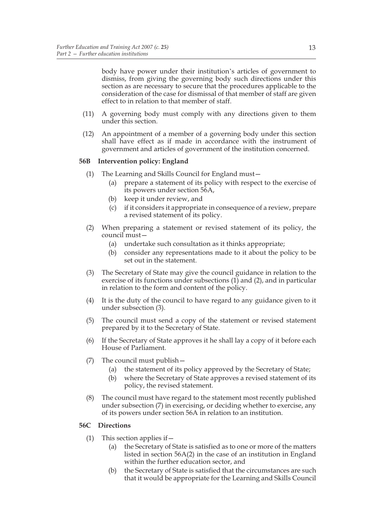body have power under their institution's articles of government to dismiss, from giving the governing body such directions under this section as are necessary to secure that the procedures applicable to the consideration of the case for dismissal of that member of staff are given effect to in relation to that member of staff.

- (11) A governing body must comply with any directions given to them under this section.
- (12) An appointment of a member of a governing body under this section shall have effect as if made in accordance with the instrument of government and articles of government of the institution concerned.

#### **56B Intervention policy: England**

- (1) The Learning and Skills Council for England must—
	- (a) prepare a statement of its policy with respect to the exercise of its powers under section 56A,
	- (b) keep it under review, and
	- (c) if it considers it appropriate in consequence of a review, prepare a revised statement of its policy.
- (2) When preparing a statement or revised statement of its policy, the council must—
	- (a) undertake such consultation as it thinks appropriate;
	- (b) consider any representations made to it about the policy to be set out in the statement.
- (3) The Secretary of State may give the council guidance in relation to the exercise of its functions under subsections  $(1)$  and  $(2)$ , and in particular in relation to the form and content of the policy.
- (4) It is the duty of the council to have regard to any guidance given to it under subsection (3).
- (5) The council must send a copy of the statement or revised statement prepared by it to the Secretary of State.
- (6) If the Secretary of State approves it he shall lay a copy of it before each House of Parliament.
- (7) The council must publish—
	- (a) the statement of its policy approved by the Secretary of State;
	- (b) where the Secretary of State approves a revised statement of its policy, the revised statement.
- (8) The council must have regard to the statement most recently published under subsection (7) in exercising, or deciding whether to exercise, any of its powers under section 56A in relation to an institution.

#### **56C Directions**

- (1) This section applies if—
	- (a) the Secretary of State is satisfied as to one or more of the matters listed in section 56A(2) in the case of an institution in England within the further education sector, and
	- (b) the Secretary of State is satisfied that the circumstances are such that it would be appropriate for the Learning and Skills Council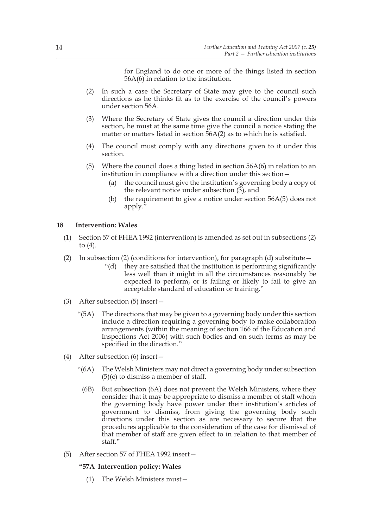for England to do one or more of the things listed in section 56A(6) in relation to the institution.

- (2) In such a case the Secretary of State may give to the council such directions as he thinks fit as to the exercise of the council's powers under section 56A.
- (3) Where the Secretary of State gives the council a direction under this section, he must at the same time give the council a notice stating the matter or matters listed in section 56A(2) as to which he is satisfied.
- (4) The council must comply with any directions given to it under this section.
- (5) Where the council does a thing listed in section  $56A(6)$  in relation to an institution in compliance with a direction under this section—
	- (a) the council must give the institution's governing body a copy of the relevant notice under subsection  $(\overline{3})$ , and
	- (b) the requirement to give a notice under section  $56A(5)$  does not apply."

#### **18 Intervention: Wales**

- (1) Section 57 of FHEA 1992 (intervention) is amended as set out in subsections (2) to (4).
- (2) In subsection (2) (conditions for intervention), for paragraph (d) substitute—
	- "(d) they are satisfied that the institution is performing significantly less well than it might in all the circumstances reasonably be expected to perform, or is failing or likely to fail to give an acceptable standard of education or training."
- (3) After subsection (5) insert—
	- " $(5A)$  The directions that may be given to a governing body under this section include a direction requiring a governing body to make collaboration arrangements (within the meaning of section 166 of the Education and Inspections Act 2006) with such bodies and on such terms as may be specified in the direction."
- (4) After subsection (6) insert—
	- "(6A) The Welsh Ministers may not direct a governing body under subsection  $(5)(c)$  to dismiss a member of staff.
		- (6B) But subsection (6A) does not prevent the Welsh Ministers, where they consider that it may be appropriate to dismiss a member of staff whom the governing body have power under their institution's articles of government to dismiss, from giving the governing body such directions under this section as are necessary to secure that the procedures applicable to the consideration of the case for dismissal of that member of staff are given effect to in relation to that member of staff."
- (5) After section 57 of FHEA 1992 insert—

#### **"57A Intervention policy: Wales**

(1) The Welsh Ministers must—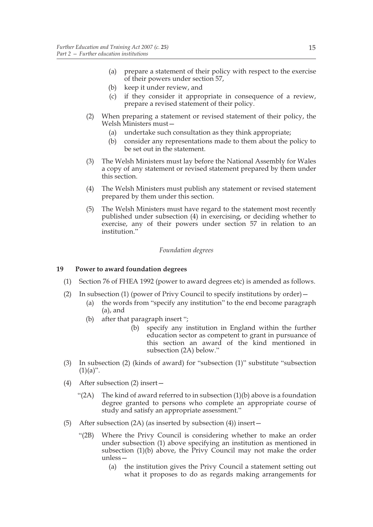- (a) prepare a statement of their policy with respect to the exercise of their powers under section 57,
- (b) keep it under review, and
- (c) if they consider it appropriate in consequence of a review, prepare a revised statement of their policy.
- (2) When preparing a statement or revised statement of their policy, the Welsh Ministers must—
	- (a) undertake such consultation as they think appropriate;
	- (b) consider any representations made to them about the policy to be set out in the statement.
- (3) The Welsh Ministers must lay before the National Assembly for Wales a copy of any statement or revised statement prepared by them under this section.
- (4) The Welsh Ministers must publish any statement or revised statement prepared by them under this section.
- (5) The Welsh Ministers must have regard to the statement most recently published under subsection (4) in exercising, or deciding whether to exercise, any of their powers under section 57 in relation to an institution."

#### *Foundation degrees*

#### **19 Power to award foundation degrees**

- (1) Section 76 of FHEA 1992 (power to award degrees etc) is amended as follows.
- (2) In subsection (1) (power of Privy Council to specify institutions by order)—
	- (a) the words from "specify any institution" to the end become paragraph (a), and
	- (b) after that paragraph insert ";
		- (b) specify any institution in England within the further education sector as competent to grant in pursuance of this section an award of the kind mentioned in subsection (2A) below."
- (3) In subsection (2) (kinds of award) for "subsection (1)" substitute "subsection  $(1)(a)$ ".
- (4) After subsection (2) insert—
	- " $(2A)$  The kind of award referred to in subsection  $(1)(b)$  above is a foundation degree granted to persons who complete an appropriate course of study and satisfy an appropriate assessment."
- (5) After subsection (2A) (as inserted by subsection (4)) insert—
	- "(2B) Where the Privy Council is considering whether to make an order under subsection (1) above specifying an institution as mentioned in subsection (1)(b) above, the Privy Council may not make the order unless—
		- (a) the institution gives the Privy Council a statement setting out what it proposes to do as regards making arrangements for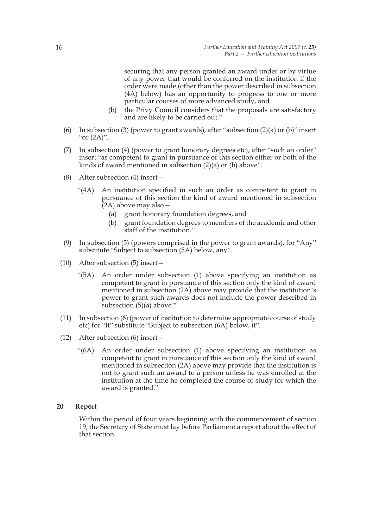securing that any person granted an award under or by virtue of any power that would be conferred on the institution if the order were made (other than the power described in subsection (4A) below) has an opportunity to progress to one or more particular courses of more advanced study, and

- (b) the Privy Council considers that the proposals are satisfactory and are likely to be carried out."
- (6) In subsection (3) (power to grant awards), after "subsection (2)(a) or (b)" insert "or  $(2A)$ ".
- (7) In subsection (4) (power to grant honorary degrees etc), after "such an order" insert "as competent to grant in pursuance of this section either or both of the kinds of award mentioned in subsection (2)(a) or (b) above".
- (8) After subsection (4) insert—
	- "(4A) An institution specified in such an order as competent to grant in pursuance of this section the kind of award mentioned in subsection (2A) above may also—
		- (a) grant honorary foundation degrees, and
		- (b) grant foundation degrees to members of the academic and other staff of the institution."
- (9) In subsection (5) (powers comprised in the power to grant awards), for "Any" substitute "Subject to subsection (5A) below, any".
- (10) After subsection (5) insert—
	- "(5A) An order under subsection (1) above specifying an institution as competent to grant in pursuance of this section only the kind of award mentioned in subsection (2A) above may provide that the institution's power to grant such awards does not include the power described in subsection (5)(a) above."
- (11) In subsection (6) (power of institution to determine appropriate course of study etc) for "It" substitute "Subject to subsection (6A) below, it".
- (12) After subsection (6) insert—
	- "(6A) An order under subsection (1) above specifying an institution as competent to grant in pursuance of this section only the kind of award mentioned in subsection (2A) above may provide that the institution is not to grant such an award to a person unless he was enrolled at the institution at the time he completed the course of study for which the award is granted."

#### **20 Report**

Within the period of four years beginning with the commencement of section 19, the Secretary of State must lay before Parliament a report about the effect of that section.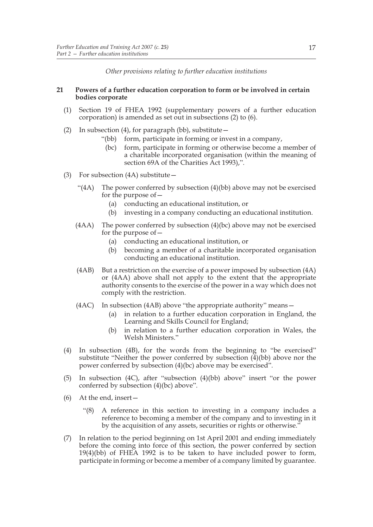*Other provisions relating to further education institutions*

#### **21 Powers of a further education corporation to form or be involved in certain bodies corporate**

- (1) Section 19 of FHEA 1992 (supplementary powers of a further education corporation) is amended as set out in subsections (2) to (6).
- (2) In subsection (4), for paragraph (bb), substitute—
	- "(bb) form, participate in forming or invest in a company,
		- (bc) form, participate in forming or otherwise become a member of a charitable incorporated organisation (within the meaning of section 69A of the Charities Act 1993),".
- (3) For subsection (4A) substitute—
	- "( $4A$ ) The power conferred by subsection  $(4)(bb)$  above may not be exercised for the purpose of—
		- (a) conducting an educational institution, or
		- (b) investing in a company conducting an educational institution.
	- $(4AA)$  The power conferred by subsection  $(4)(bc)$  above may not be exercised for the purpose of—
		- (a) conducting an educational institution, or
		- (b) becoming a member of a charitable incorporated organisation conducting an educational institution.
	- (4AB) But a restriction on the exercise of a power imposed by subsection (4A) or (4AA) above shall not apply to the extent that the appropriate authority consents to the exercise of the power in a way which does not comply with the restriction.
	- (4AC) In subsection (4AB) above "the appropriate authority" means—
		- (a) in relation to a further education corporation in England, the Learning and Skills Council for England;
		- (b) in relation to a further education corporation in Wales, the Welsh Ministers."
- (4) In subsection (4B), for the words from the beginning to "be exercised" substitute "Neither the power conferred by subsection  $(4)(bb)$  above nor the power conferred by subsection (4)(bc) above may be exercised".
- (5) In subsection (4C), after "subsection (4)(bb) above" insert "or the power conferred by subsection (4)(bc) above".
- (6) At the end, insert—
	- "(8) A reference in this section to investing in a company includes a reference to becoming a member of the company and to investing in it by the acquisition of any assets, securities or rights or otherwise.'
- (7) In relation to the period beginning on 1st April 2001 and ending immediately before the coming into force of this section, the power conferred by section 19(4)(bb) of FHEA 1992 is to be taken to have included power to form, participate in forming or become a member of a company limited by guarantee.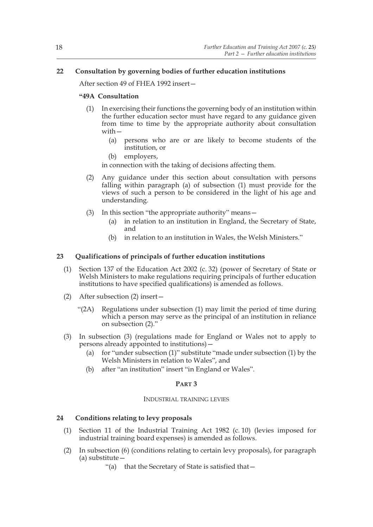#### **22 Consultation by governing bodies of further education institutions**

After section 49 of FHEA 1992 insert—

#### **"49A Consultation**

- (1) In exercising their functions the governing body of an institution within the further education sector must have regard to any guidance given from time to time by the appropriate authority about consultation with—
	- (a) persons who are or are likely to become students of the institution, or
	- (b) employers,

in connection with the taking of decisions affecting them.

- (2) Any guidance under this section about consultation with persons falling within paragraph (a) of subsection (1) must provide for the views of such a person to be considered in the light of his age and understanding.
- (3) In this section "the appropriate authority" means—
	- (a) in relation to an institution in England, the Secretary of State, and
	- (b) in relation to an institution in Wales, the Welsh Ministers."

#### **23 Qualifications of principals of further education institutions**

- (1) Section 137 of the Education Act 2002 (c. 32) (power of Secretary of State or Welsh Ministers to make regulations requiring principals of further education institutions to have specified qualifications) is amended as follows.
- (2) After subsection (2) insert—
	- "(2A) Regulations under subsection (1) may limit the period of time during which a person may serve as the principal of an institution in reliance on subsection (2)."
- (3) In subsection (3) (regulations made for England or Wales not to apply to persons already appointed to institutions)—
	- (a) for "under subsection (1)" substitute "made under subsection (1) by the Welsh Ministers in relation to Wales", and
	- (b) after "an institution" insert "in England or Wales".

#### **PART 3**

#### INDUSTRIAL TRAINING LEVIES

#### **24 Conditions relating to levy proposals**

- (1) Section 11 of the Industrial Training Act 1982 (c. 10) (levies imposed for industrial training board expenses) is amended as follows.
- (2) In subsection (6) (conditions relating to certain levy proposals), for paragraph (a) substitute—
	- "(a) that the Secretary of State is satisfied that—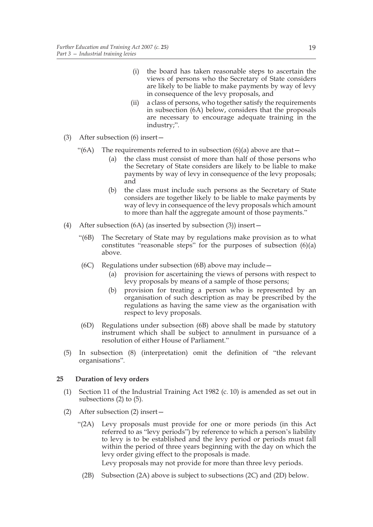- (i) the board has taken reasonable steps to ascertain the views of persons who the Secretary of State considers are likely to be liable to make payments by way of levy in consequence of the levy proposals, and
- (ii) a class of persons, who together satisfy the requirements in subsection (6A) below, considers that the proposals are necessary to encourage adequate training in the industry;".
- (3) After subsection (6) insert—
	- "(6A) The requirements referred to in subsection (6)(a) above are that  $-$ 
		- (a) the class must consist of more than half of those persons who the Secretary of State considers are likely to be liable to make payments by way of levy in consequence of the levy proposals; and
		- (b) the class must include such persons as the Secretary of State considers are together likely to be liable to make payments by way of levy in consequence of the levy proposals which amount to more than half the aggregate amount of those payments."
- (4) After subsection (6A) (as inserted by subsection (3)) insert—
	- "(6B) The Secretary of State may by regulations make provision as to what constitutes "reasonable steps" for the purposes of subsection  $(6)(a)$ above.
	- (6C) Regulations under subsection (6B) above may include—
		- (a) provision for ascertaining the views of persons with respect to levy proposals by means of a sample of those persons;
		- (b) provision for treating a person who is represented by an organisation of such description as may be prescribed by the regulations as having the same view as the organisation with respect to levy proposals.
	- (6D) Regulations under subsection (6B) above shall be made by statutory instrument which shall be subject to annulment in pursuance of a resolution of either House of Parliament."
- (5) In subsection (8) (interpretation) omit the definition of "the relevant organisations".

#### **25 Duration of levy orders**

- (1) Section 11 of the Industrial Training Act 1982 (c. 10) is amended as set out in subsections (2) to (5).
- (2) After subsection (2) insert—
	- "(2A) Levy proposals must provide for one or more periods (in this Act referred to as "levy periods") by reference to which a person's liability to levy is to be established and the levy period or periods must fall within the period of three years beginning with the day on which the levy order giving effect to the proposals is made.

Levy proposals may not provide for more than three levy periods.

(2B) Subsection (2A) above is subject to subsections (2C) and (2D) below.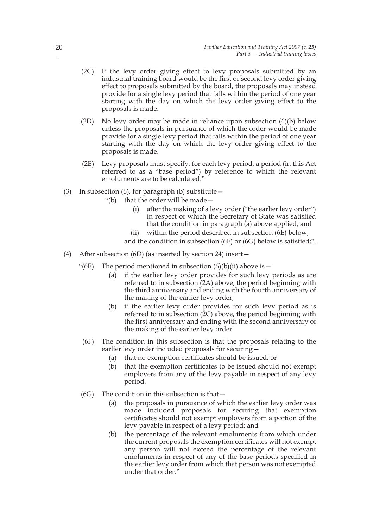- (2C) If the levy order giving effect to levy proposals submitted by an industrial training board would be the first or second levy order giving effect to proposals submitted by the board, the proposals may instead provide for a single levy period that falls within the period of one year starting with the day on which the levy order giving effect to the proposals is made.
- (2D) No levy order may be made in reliance upon subsection (6)(b) below unless the proposals in pursuance of which the order would be made provide for a single levy period that falls within the period of one year starting with the day on which the levy order giving effect to the proposals is made.
- (2E) Levy proposals must specify, for each levy period, a period (in this Act referred to as a "base period") by reference to which the relevant emoluments are to be calculated."
- (3) In subsection (6), for paragraph (b) substitute—
	- "(b) that the order will be made—
		- (i) after the making of a levy order ("the earlier levy order") in respect of which the Secretary of State was satisfied that the condition in paragraph (a) above applied, and
		- within the period described in subsection (6E) below,
		- and the condition in subsection (6F) or (6G) below is satisfied;".
- (4) After subsection (6D) (as inserted by section 24) insert—
	- "(6E) The period mentioned in subsection  $(6)(b)(ii)$  above is  $-$ 
		- (a) if the earlier levy order provides for such levy periods as are referred to in subsection (2A) above, the period beginning with the third anniversary and ending with the fourth anniversary of the making of the earlier levy order;
		- (b) if the earlier levy order provides for such levy period as is referred to in subsection (2C) above, the period beginning with the first anniversary and ending with the second anniversary of the making of the earlier levy order.
	- (6F) The condition in this subsection is that the proposals relating to the earlier levy order included proposals for securing—
		- (a) that no exemption certificates should be issued; or
		- (b) that the exemption certificates to be issued should not exempt employers from any of the levy payable in respect of any levy period.
	- $(6G)$  The condition in this subsection is that  $-$ 
		- (a) the proposals in pursuance of which the earlier levy order was made included proposals for securing that exemption certificates should not exempt employers from a portion of the levy payable in respect of a levy period; and
		- (b) the percentage of the relevant emoluments from which under the current proposals the exemption certificates will not exempt any person will not exceed the percentage of the relevant emoluments in respect of any of the base periods specified in the earlier levy order from which that person was not exempted under that order."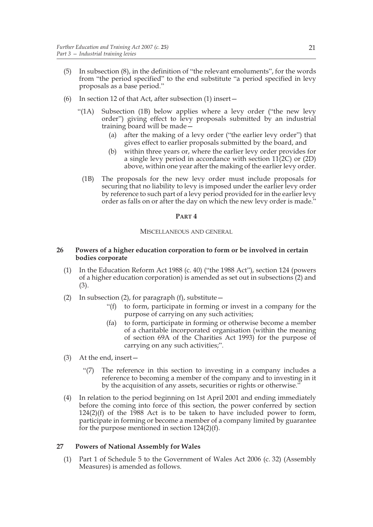- (5) In subsection (8), in the definition of "the relevant emoluments", for the words from "the period specified" to the end substitute "a period specified in levy proposals as a base period."
- (6) In section 12 of that Act, after subsection (1) insert—
	- "(1A) Subsection (1B) below applies where a levy order ("the new levy order") giving effect to levy proposals submitted by an industrial training board will be made—
		- (a) after the making of a levy order ("the earlier levy order") that gives effect to earlier proposals submitted by the board, and
		- (b) within three years or, where the earlier levy order provides for a single levy period in accordance with section 11(2C) or (2D) above, within one year after the making of the earlier levy order.
		- (1B) The proposals for the new levy order must include proposals for securing that no liability to levy is imposed under the earlier levy order by reference to such part of a levy period provided for in the earlier levy order as falls on or after the day on which the new levy order is made."

#### **PART 4**

#### MISCELLANEOUS AND GENERAL

#### **26 Powers of a higher education corporation to form or be involved in certain bodies corporate**

- (1) In the Education Reform Act 1988 (c. 40) ("the 1988 Act"), section 124 (powers of a higher education corporation) is amended as set out in subsections (2) and (3).
- (2) In subsection (2), for paragraph (f), substitute  $-$ 
	- "(f) to form, participate in forming or invest in a company for the purpose of carrying on any such activities;
	- (fa) to form, participate in forming or otherwise become a member of a charitable incorporated organisation (within the meaning of section 69A of the Charities Act 1993) for the purpose of carrying on any such activities;".
- (3) At the end, insert—
	- "(7) The reference in this section to investing in a company includes a reference to becoming a member of the company and to investing in it by the acquisition of any assets, securities or rights or otherwise."
- (4) In relation to the period beginning on 1st April 2001 and ending immediately before the coming into force of this section, the power conferred by section  $124(2)(f)$  of the 1988 Act is to be taken to have included power to form, participate in forming or become a member of a company limited by guarantee for the purpose mentioned in section 124(2)(f).

#### **27 Powers of National Assembly for Wales**

(1) Part 1 of Schedule 5 to the Government of Wales Act 2006 (c. 32) (Assembly Measures) is amended as follows.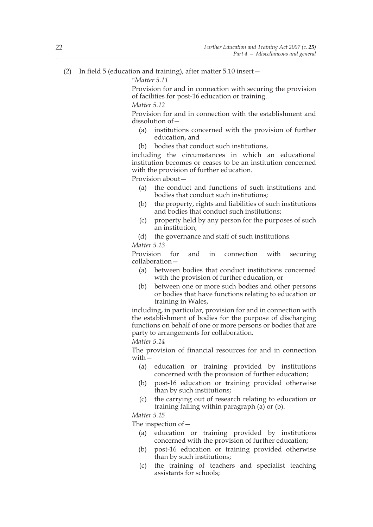"*Matter 5.11*

 Provision for and in connection with securing the provision of facilities for post-16 education or training.

*Matter 5.12*

 Provision for and in connection with the establishment and dissolution of—

- (a) institutions concerned with the provision of further education, and
- (b) bodies that conduct such institutions,

 including the circumstances in which an educational institution becomes or ceases to be an institution concerned with the provision of further education.

Provision about—

- (a) the conduct and functions of such institutions and bodies that conduct such institutions;
- (b) the property, rights and liabilities of such institutions and bodies that conduct such institutions;
- (c) property held by any person for the purposes of such an institution;
- (d) the governance and staff of such institutions.

*Matter 5.13*

 Provision for and in connection with securing collaboration—

- (a) between bodies that conduct institutions concerned with the provision of further education, or
- (b) between one or more such bodies and other persons or bodies that have functions relating to education or training in Wales,

including, in particular, provision for and in connection with the establishment of bodies for the purpose of discharging functions on behalf of one or more persons or bodies that are party to arrangements for collaboration.

*Matter 5.14*

 The provision of financial resources for and in connection with—

- (a) education or training provided by institutions concerned with the provision of further education;
- (b) post-16 education or training provided otherwise than by such institutions;
- (c) the carrying out of research relating to education or training falling within paragraph  $(a)$  or  $(b)$ .

*Matter 5.15*

The inspection of—

- (a) education or training provided by institutions concerned with the provision of further education;
- (b) post-16 education or training provided otherwise than by such institutions;
- (c) the training of teachers and specialist teaching assistants for schools;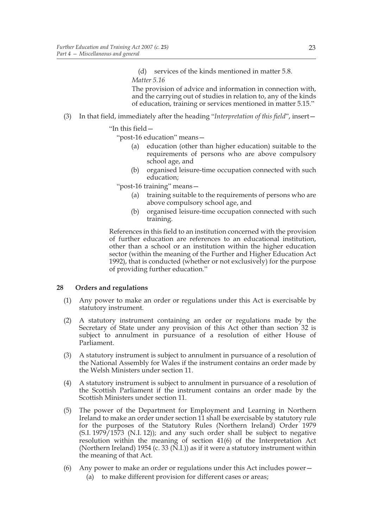(d) services of the kinds mentioned in matter 5.8. *Matter 5.16*

 The provision of advice and information in connection with, and the carrying out of studies in relation to, any of the kinds of education, training or services mentioned in matter 5.15."

(3) In that field, immediately after the heading "*Interpretation of this field*", insert—

#### "In this field—

"post-16 education" means—

- (a) education (other than higher education) suitable to the requirements of persons who are above compulsory school age, and
- (b) organised leisure-time occupation connected with such education;

"post-16 training" means—

- (a) training suitable to the requirements of persons who are above compulsory school age, and
- (b) organised leisure-time occupation connected with such training.

 References in this field to an institution concerned with the provision of further education are references to an educational institution, other than a school or an institution within the higher education sector (within the meaning of the Further and Higher Education Act 1992), that is conducted (whether or not exclusively) for the purpose of providing further education."

#### **28 Orders and regulations**

- (1) Any power to make an order or regulations under this Act is exercisable by statutory instrument.
- (2) A statutory instrument containing an order or regulations made by the Secretary of State under any provision of this Act other than section 32 is subject to annulment in pursuance of a resolution of either House of Parliament.
- (3) A statutory instrument is subject to annulment in pursuance of a resolution of the National Assembly for Wales if the instrument contains an order made by the Welsh Ministers under section 11.
- (4) A statutory instrument is subject to annulment in pursuance of a resolution of the Scottish Parliament if the instrument contains an order made by the Scottish Ministers under section 11.
- (5) The power of the Department for Employment and Learning in Northern Ireland to make an order under section 11 shall be exercisable by statutory rule for the purposes of the Statutory Rules (Northern Ireland) Order 1979  $(S.I. 1979/1573$   $(N.I. 12)$ ; and any such order shall be subject to negative resolution within the meaning of section 41(6) of the Interpretation Act (Northern Ireland) 1954 (c. 33 (N.I.)) as if it were a statutory instrument within the meaning of that Act.
- (6) Any power to make an order or regulations under this Act includes power—
	- (a) to make different provision for different cases or areas;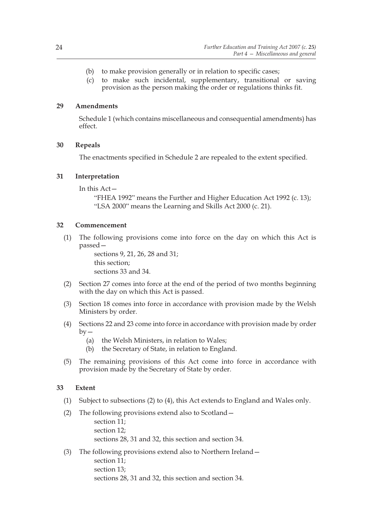- (b) to make provision generally or in relation to specific cases;
- (c) to make such incidental, supplementary, transitional or saving provision as the person making the order or regulations thinks fit.

#### **29 Amendments**

Schedule 1 (which contains miscellaneous and consequential amendments) has effect.

#### **30 Repeals**

The enactments specified in Schedule 2 are repealed to the extent specified.

#### **31 Interpretation**

In this Act—

"FHEA 1992" means the Further and Higher Education Act 1992 (c. 13); "LSA 2000" means the Learning and Skills Act 2000 (c. 21).

#### **32 Commencement**

(1) The following provisions come into force on the day on which this Act is passed—

> sections 9, 21, 26, 28 and 31; this section; sections 33 and 34.

- (2) Section 27 comes into force at the end of the period of two months beginning with the day on which this Act is passed.
- (3) Section 18 comes into force in accordance with provision made by the Welsh Ministers by order.
- (4) Sections 22 and 23 come into force in accordance with provision made by order  $by -$ 
	- (a) the Welsh Ministers, in relation to Wales;
	- (b) the Secretary of State, in relation to England.
- (5) The remaining provisions of this Act come into force in accordance with provision made by the Secretary of State by order.

#### **33 Extent**

- (1) Subject to subsections (2) to (4), this Act extends to England and Wales only.
- (2) The following provisions extend also to Scotland
	- section 11; section 12; sections 28, 31 and 32, this section and section 34.
- (3) The following provisions extend also to Northern Ireland section 11; section 13; sections 28, 31 and 32, this section and section 34.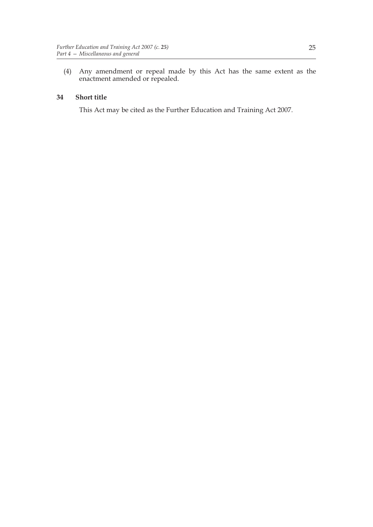(4) Any amendment or repeal made by this Act has the same extent as the enactment amended or repealed.

#### **34 Short title**

This Act may be cited as the Further Education and Training Act 2007.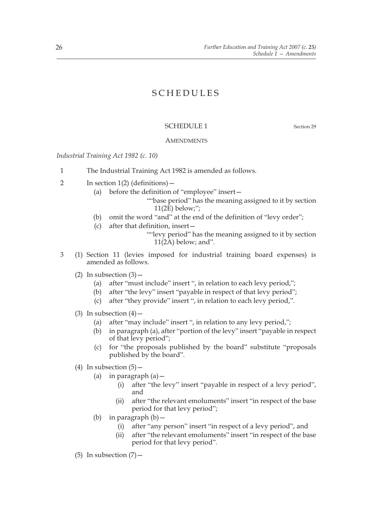# SCHEDULES

#### SCHEDULE 1 Section 29

#### **AMENDMENTS**

*Industrial Training Act 1982 (c. 10)*

- 1 The Industrial Training Act 1982 is amended as follows.
- 2 In section 1(2) (definitions)—
	- (a) before the definition of "employee" insert—
		- ""base period" has the meaning assigned to it by section  $11(2E)$  below;";
	- (b) omit the word "and" at the end of the definition of "levy order";
	- (c) after that definition, insert—

""levy period" has the meaning assigned to it by section  $11(2A)$  below; and".

- 3 (1) Section 11 (levies imposed for industrial training board expenses) is amended as follows.
	- (2) In subsection  $(3)$ 
		- (a) after "must include" insert ", in relation to each levy period,";
		- (b) after "the levy" insert "payable in respect of that levy period";
		- (c) after "they provide" insert ", in relation to each levy period,".
	- (3) In subsection  $(4)$ 
		- (a) after "may include" insert ", in relation to any levy period,";
		- (b) in paragraph (a), after "portion of the levy" insert "payable in respect of that levy period";
		- (c) for "the proposals published by the board" substitute "proposals published by the board".
	- (4) In subsection  $(5)$ 
		- (a) in paragraph  $(a)$  -
			- (i) after "the levy" insert "payable in respect of a levy period", and
			- (ii) after "the relevant emoluments" insert "in respect of the base period for that levy period";
		- (b) in paragraph  $(b)$  -
			- (i) after "any person" insert "in respect of a levy period", and
			- (ii) after "the relevant emoluments" insert "in respect of the base period for that levy period".
	- (5) In subsection  $(7)$  -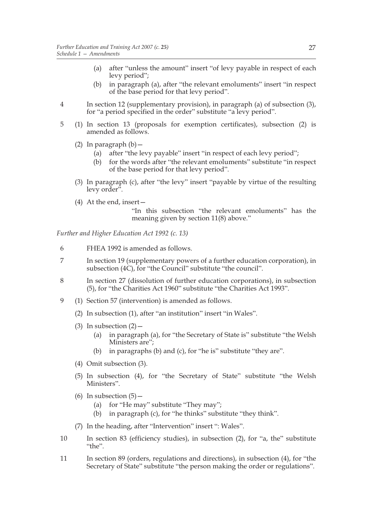- (a) after "unless the amount" insert "of levy payable in respect of each levy period";
- (b) in paragraph (a), after "the relevant emoluments" insert "in respect of the base period for that levy period".
- 4 In section 12 (supplementary provision), in paragraph (a) of subsection (3), for "a period specified in the order" substitute "a levy period".
- 5 (1) In section 13 (proposals for exemption certificates), subsection (2) is amended as follows.
	- (2) In paragraph  $(b)$  -
		- (a) after "the levy payable" insert "in respect of each levy period";
		- (b) for the words after "the relevant emoluments" substitute "in respect of the base period for that levy period".
	- (3) In paragraph (c), after "the levy" insert "payable by virtue of the resulting levy order".
	- (4) At the end, insert—

 "In this subsection "the relevant emoluments" has the meaning given by section 11(8) above."

*Further and Higher Education Act 1992 (c. 13)*

- 6 FHEA 1992 is amended as follows.
- 7 In section 19 (supplementary powers of a further education corporation), in subsection (4C), for "the Council" substitute "the council".
- 8 In section 27 (dissolution of further education corporations), in subsection (5), for "the Charities Act 1960" substitute "the Charities Act 1993".
- 9 (1) Section 57 (intervention) is amended as follows.
	- (2) In subsection (1), after "an institution" insert "in Wales".
	- (3) In subsection  $(2)$ 
		- (a) in paragraph (a), for "the Secretary of State is" substitute "the Welsh Ministers are";
		- (b) in paragraphs (b) and (c), for "he is" substitute "they are".
	- (4) Omit subsection (3).
	- (5) In subsection (4), for "the Secretary of State" substitute "the Welsh Ministers".
	- (6) In subsection  $(5)$ 
		- (a) for "He may" substitute "They may";
		- (b) in paragraph (c), for "he thinks" substitute "they think".
	- (7) In the heading, after "Intervention" insert ": Wales".
- 10 In section 83 (efficiency studies), in subsection (2), for "a, the" substitute "the".
- 11 In section 89 (orders, regulations and directions), in subsection (4), for "the Secretary of State" substitute "the person making the order or regulations".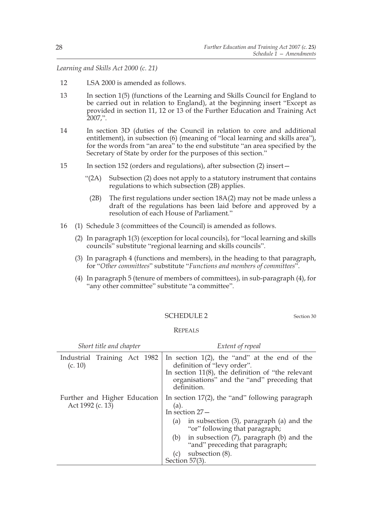*Learning and Skills Act 2000 (c. 21)*

- 12 LSA 2000 is amended as follows.
- 13 In section 1(5) (functions of the Learning and Skills Council for England to be carried out in relation to England), at the beginning insert "Except as provided in section 11, 12 or 13 of the Further Education and Training Act 2007,".
- 14 In section 3D (duties of the Council in relation to core and additional entitlement), in subsection (6) (meaning of "local learning and skills area"), for the words from "an area" to the end substitute "an area specified by the Secretary of State by order for the purposes of this section."
- 15 In section 152 (orders and regulations), after subsection (2) insert—
	- "(2A) Subsection (2) does not apply to a statutory instrument that contains regulations to which subsection (2B) applies.
		- (2B) The first regulations under section 18A(2) may not be made unless a draft of the regulations has been laid before and approved by a resolution of each House of Parliament."
- 16 (1) Schedule 3 (committees of the Council) is amended as follows.
	- (2) In paragraph 1(3) (exception for local councils), for "local learning and skills councils" substitute "regional learning and skills councils".
	- (3) In paragraph 4 (functions and members), in the heading to that paragraph, for "*Other committees*" substitute "*Functions and members of committees*".
	- (4) In paragraph 5 (tenure of members of committees), in sub-paragraph (4), for "any other committee" substitute "a committee".

#### SCHEDULE 2 Section 30

#### REPEALS

| Short title and chapter                          |  |  |  | Extent of repeal                                                               |                                                                                                                                                                                                      |  |
|--------------------------------------------------|--|--|--|--------------------------------------------------------------------------------|------------------------------------------------------------------------------------------------------------------------------------------------------------------------------------------------------|--|
| Industrial Training Act 1982<br>(c. 10)          |  |  |  |                                                                                | In section $1(2)$ , the "and" at the end of the<br>definition of "levy order".<br>In section $11(8)$ , the definition of "the relevant<br>organisations" and the "and" preceding that<br>definition. |  |
| Further and Higher Education<br>Act 1992 (c. 13) |  |  |  | In section $17(2)$ , the "and" following paragraph<br>(a).<br>In section $27-$ |                                                                                                                                                                                                      |  |
|                                                  |  |  |  | (a)                                                                            | in subsection $(3)$ , paragraph $(a)$ and the<br>"or" following that paragraph;                                                                                                                      |  |
|                                                  |  |  |  |                                                                                | (b) in subsection (7), paragraph (b) and the<br>"and" preceding that paragraph;                                                                                                                      |  |
|                                                  |  |  |  | (c)<br>Section 57(3).                                                          | subsection (8).                                                                                                                                                                                      |  |